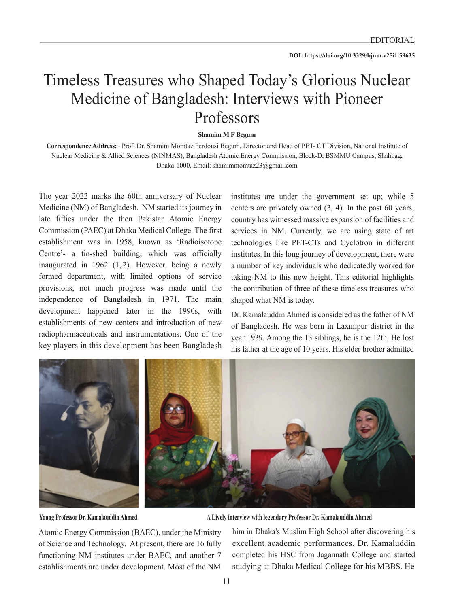## Timeless Treasures who Shaped Today's Glorious Nuclear Medicine of Bangladesh: Interviews with Pioneer Professors

**Shamim M F Begum**

**Correspondence Address:** : Prof. Dr. Shamim Momtaz Ferdousi Begum, Director and Head of PET- CT Division, National Institute of Nuclear Medicine & Allied Sciences (NINMAS), Bangladesh Atomic Energy Commission, Block-D, BSMMU Campus, Shahbag, Dhaka-1000, Email: shamimmomtaz23@gmail.com

The year 2022 marks the 60th anniversary of Nuclear Medicine (NM) of Bangladesh. NM started its journey in late fifties under the then Pakistan Atomic Energy Commission (PAEC) at Dhaka Medical College. The first establishment was in 1958, known as 'Radioisotope Centre'- a tin-shed building, which was officially inaugurated in 1962 (1, 2). However, being a newly formed department, with limited options of service provisions, not much progress was made until the independence of Bangladesh in 1971. The main development happened later in the 1990s, with establishments of new centers and introduction of new radiopharmaceuticals and instrumentations. One of the key players in this development has been Bangladesh

institutes are under the government set up; while 5 centers are privately owned (3, 4). In the past 60 years, country has witnessed massive expansion of facilities and services in NM. Currently, we are using state of art technologies like PET-CTs and Cyclotron in different institutes. In this long journey of development, there were a number of key individuals who dedicatedly worked for taking NM to this new height. This editorial highlights the contribution of three of these timeless treasures who shaped what NM is today.

Dr. Kamalauddin Ahmed is considered as the father of NM of Bangladesh. He was born in Laxmipur district in the year 1939. Among the 13 siblings, he is the 12th. He lost his father at the age of 10 years. His elder brother admitted



**Young Professor Dr. Kamalauddin Ahmed A Lively interview with legendary Professor Dr. Kamalauddin Ahmed**

Atomic Energy Commission (BAEC), under the Ministry of Science and Technology. At present, there are 16 fully functioning NM institutes under BAEC, and another 7 establishments are under development. Most of the NM him in Dhaka's Muslim High School after discovering his excellent academic performances. Dr. Kamaluddin completed his HSC from Jagannath College and started studying at Dhaka Medical College for his MBBS. He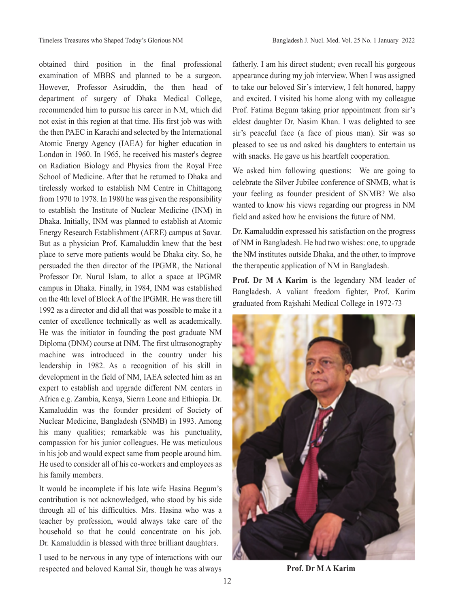obtained third position in the final professional examination of MBBS and planned to be a surgeon. However, Professor Asiruddin, the then head of department of surgery of Dhaka Medical College, recommended him to pursue his career in NM, which did not exist in this region at that time. His first job was with the then PAEC in Karachi and selected by the International Atomic Energy Agency (IAEA) for higher education in London in 1960. In 1965, he received his master's degree on Radiation Biology and Physics from the Royal Free School of Medicine. After that he returned to Dhaka and tirelessly worked to establish NM Centre in Chittagong from 1970 to 1978. In 1980 he was given the responsibility to establish the Institute of Nuclear Medicine (INM) in Dhaka. Initially, INM was planned to establish at Atomic Energy Research Establishment (AERE) campus at Savar. But as a physician Prof. Kamaluddin knew that the best place to serve more patients would be Dhaka city. So, he persuaded the then director of the IPGMR, the National Professor Dr. Nurul Islam, to allot a space at IPGMR campus in Dhaka. Finally, in 1984, INM was established on the 4th level of Block A of the IPGMR. He was there till 1992 as a director and did all that was possible to make it a center of excellence technically as well as academically. He was the initiator in founding the post graduate NM Diploma (DNM) course at INM. The first ultrasonography machine was introduced in the country under his leadership in 1982. As a recognition of his skill in development in the field of NM, IAEA selected him as an expert to establish and upgrade different NM centers in Africa e.g. Zambia, Kenya, Sierra Leone and Ethiopia. Dr. Kamaluddin was the founder president of Society of Nuclear Medicine, Bangladesh (SNMB) in 1993. Among his many qualities; remarkable was his punctuality, compassion for his junior colleagues. He was meticulous in his job and would expect same from people around him. He used to consider all of his co-workers and employees as his family members.

It would be incomplete if his late wife Hasina Begum's contribution is not acknowledged, who stood by his side through all of his difficulties. Mrs. Hasina who was a teacher by profession, would always take care of the household so that he could concentrate on his job. Dr. Kamaluddin is blessed with three brilliant daughters.

I used to be nervous in any type of interactions with our respected and beloved Kamal Sir, though he was always

fatherly. I am his direct student; even recall his gorgeous appearance during my job interview. When I was assigned to take our beloved Sir's interview, I felt honored, happy and excited. I visited his home along with my colleague Prof. Fatima Begum taking prior appointment from sir's eldest daughter Dr. Nasim Khan. I was delighted to see sir's peaceful face (a face of pious man). Sir was so pleased to see us and asked his daughters to entertain us with snacks. He gave us his heartfelt cooperation.

We asked him following questions: We are going to celebrate the Silver Jubilee conference of SNMB, what is your feeling as founder president of SNMB? We also wanted to know his views regarding our progress in NM field and asked how he envisions the future of NM.

Dr. Kamaluddin expressed his satisfaction on the progress of NM in Bangladesh. He had two wishes: one, to upgrade the NM institutes outside Dhaka, and the other, to improve the therapeutic application of NM in Bangladesh.

**Prof. Dr M A Karim** is the legendary NM leader of Bangladesh. A valiant freedom fighter, Prof. Karim graduated from Rajshahi Medical College in 1972-73



**Prof. Dr M A Karim**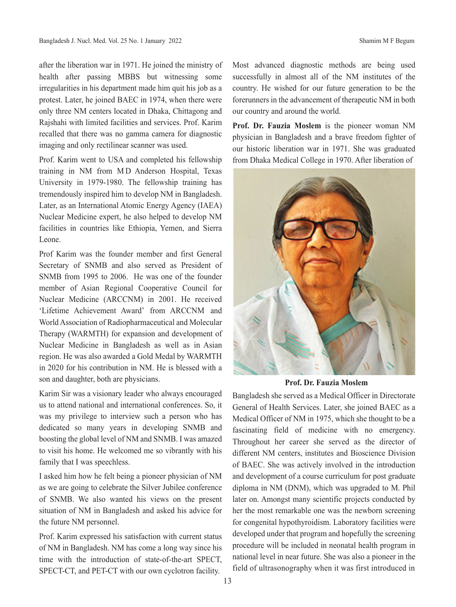after the liberation war in 1971. He joined the ministry of health after passing MBBS but witnessing some irregularities in his department made him quit his job as a protest. Later, he joined BAEC in 1974, when there were only three NM centers located in Dhaka, Chittagong and Rajshahi with limited facilities and services. Prof. Karim recalled that there was no gamma camera for diagnostic imaging and only rectilinear scanner was used.

Prof. Karim went to USA and completed his fellowship training in NM from MD Anderson Hospital, Texas University in 1979-1980. The fellowship training has tremendously inspired him to develop NM in Bangladesh. Later, as an International Atomic Energy Agency (IAEA) Nuclear Medicine expert, he also helped to develop NM facilities in countries like Ethiopia, Yemen, and Sierra Leone.

Prof Karim was the founder member and first General Secretary of SNMB and also served as President of SNMB from 1995 to 2006. He was one of the founder member of Asian Regional Cooperative Council for Nuclear Medicine (ARCCNM) in 2001. He received 'Lifetime Achievement Award' from ARCCNM and World Association of Radiopharmaceutical and Molecular Therapy (WARMTH) for expansion and development of Nuclear Medicine in Bangladesh as well as in Asian region. He was also awarded a Gold Medal by WARMTH in 2020 for his contribution in NM. He is blessed with a son and daughter, both are physicians.

Karim Sir was a visionary leader who always encouraged us to attend national and international conferences. So, it was my privilege to interview such a person who has dedicated so many years in developing SNMB and boosting the global level of NM and SNMB. I was amazed to visit his home. He welcomed me so vibrantly with his family that I was speechless.

I asked him how he felt being a pioneer physician of NM as we are going to celebrate the Silver Jubilee conference of SNMB. We also wanted his views on the present situation of NM in Bangladesh and asked his advice for the future NM personnel.

Prof. Karim expressed his satisfaction with current status of NM in Bangladesh. NM has come a long way since his time with the introduction of state-of-the-art SPECT, SPECT-CT, and PET-CT with our own cyclotron facility.

Most advanced diagnostic methods are being used successfully in almost all of the NM institutes of the country. He wished for our future generation to be the forerunners in the advancement of therapeutic NM in both our country and around the world.

**Prof. Dr. Fauzia Moslem** is the pioneer woman NM physician in Bangladesh and a brave freedom fighter of our historic liberation war in 1971. She was graduated from Dhaka Medical College in 1970. After liberation of



**Prof. Dr. Fauzia Moslem**

Bangladesh she served as a Medical Officer in Directorate General of Health Services. Later, she joined BAEC as a Medical Officer of NM in 1975, which she thought to be a fascinating field of medicine with no emergency. Throughout her career she served as the director of different NM centers, institutes and Bioscience Division of BAEC. She was actively involved in the introduction and development of a course curriculum for post graduate diploma in NM (DNM), which was upgraded to M. Phil later on. Amongst many scientific projects conducted by her the most remarkable one was the newborn screening for congenital hypothyroidism. Laboratory facilities were developed under that program and hopefully the screening procedure will be included in neonatal health program in national level in near future. She was also a pioneer in the field of ultrasonography when it was first introduced in